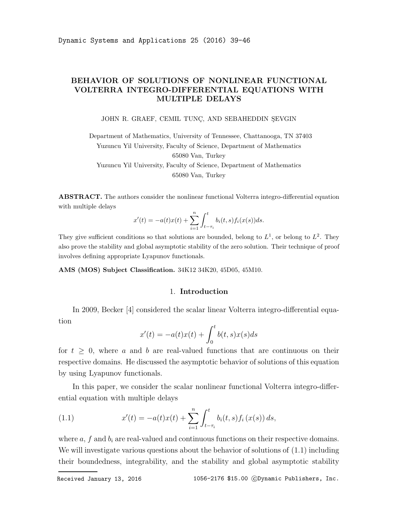## BEHAVIOR OF SOLUTIONS OF NONLINEAR FUNCTIONAL VOLTERRA INTEGRO-DIFFERENTIAL EQUATIONS WITH MULTIPLE DELAYS

JOHN R. GRAEF, CEMIL TUNÇ, AND SEBAHEDDIN ŞEVGIN

Department of Mathematics, University of Tennessee, Chattanooga, TN 37403 Yuzuncu Yil University, Faculty of Science, Department of Mathematics 65080 Van, Turkey Yuzuncu Yil University, Faculty of Science, Department of Mathematics 65080 Van, Turkey

ABSTRACT. The authors consider the nonlinear functional Volterra integro-differential equation with multiple delays

$$
x'(t) = -a(t)x(t) + \sum_{i=1}^{n} \int_{t-\tau_i}^{t} b_i(t,s) f_i(x(s)) ds.
$$

They give sufficient conditions so that solutions are bounded, belong to  $L^1$ , or belong to  $L^2$ . They also prove the stability and global asymptotic stability of the zero solution. Their technique of proof involves defining appropriate Lyapunov functionals.

AMS (MOS) Subject Classification. 34K12 34K20, 45D05, 45M10.

## 1. Introduction

In 2009, Becker [4] considered the scalar linear Volterra integro-differential equation

$$
x'(t) = -a(t)x(t) + \int_0^t b(t,s)x(s)ds
$$

for  $t \geq 0$ , where a and b are real-valued functions that are continuous on their respective domains. He discussed the asymptotic behavior of solutions of this equation by using Lyapunov functionals.

In this paper, we consider the scalar nonlinear functional Volterra integro-differential equation with multiple delays

(1.1) 
$$
x'(t) = -a(t)x(t) + \sum_{i=1}^{n} \int_{t-\tau_i}^{t} b_i(t,s) f_i(x(s)) ds,
$$

where  $a, f$  and  $b_i$  are real-valued and continuous functions on their respective domains. We will investigate various questions about the behavior of solutions of  $(1.1)$  including their boundedness, integrability, and the stability and global asymptotic stability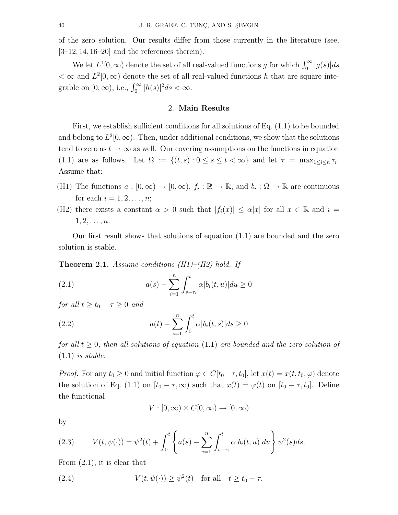of the zero solution. Our results differ from those currently in the literature (see,  $[3-12, 14, 16-20]$  and the references therein).

We let  $L^1[0, \infty)$  denote the set of all real-valued functions g for which  $\int_0^\infty |g(s)| ds$  $< \infty$  and  $L^2[0, \infty)$  denote the set of all real-valued functions h that are square integrable on  $[0, \infty)$ , i.e.,  $\int_0^\infty |h(s)|^2 ds < \infty$ .

## 2. Main Results

First, we establish sufficient conditions for all solutions of Eq. (1.1) to be bounded and belong to  $L^2[0,\infty)$ . Then, under additional conditions, we show that the solutions tend to zero as  $t \to \infty$  as well. Our covering assumptions on the functions in equation (1.1) are as follows. Let  $\Omega := \{(t, s) : 0 \le s \le t < \infty\}$  and let  $\tau = \max_{1 \le i \le n} \tau_i$ . Assume that:

- (H1) The functions  $a:[0,\infty)\to [0,\infty)$ ,  $f_i:\mathbb{R}\to\mathbb{R}$ , and  $b_i:\Omega\to\mathbb{R}$  are continuous for each  $i = 1, 2, ..., n;$
- (H2) there exists a constant  $\alpha > 0$  such that  $|f_i(x)| \leq \alpha |x|$  for all  $x \in \mathbb{R}$  and  $i =$  $1, 2, \ldots, n$ .

Our first result shows that solutions of equation (1.1) are bounded and the zero solution is stable.

**Theorem 2.1.** Assume conditions  $(H1)$ – $(H2)$  hold. If

(2.1) 
$$
a(s) - \sum_{i=1}^{n} \int_{s-\tau_i}^{t} \alpha |b_i(t, u)| du \ge 0
$$

for all  $t > t_0 - \tau > 0$  and

(2.2) 
$$
a(t) - \sum_{i=1}^{n} \int_{0}^{t} \alpha |b_{i}(t, s)| ds \ge 0
$$

for all  $t > 0$ , then all solutions of equation (1.1) are bounded and the zero solution of  $(1.1)$  is stable.

*Proof.* For any  $t_0 \geq 0$  and initial function  $\varphi \in C[t_0 - \tau, t_0]$ , let  $x(t) = x(t, t_0, \varphi)$  denote the solution of Eq. (1.1) on  $[t_0 - \tau, \infty)$  such that  $x(t) = \varphi(t)$  on  $[t_0 - \tau, t_0]$ . Define the functional

$$
V : [0, \infty) \times C[0, \infty) \to [0, \infty)
$$

by

(2.3) 
$$
V(t, \psi(\cdot)) = \psi^{2}(t) + \int_{0}^{t} \left\{ a(s) - \sum_{i=1}^{n} \int_{s-\tau_{i}}^{t} \alpha |b_{i}(t, u)| du \right\} \psi^{2}(s) ds.
$$

From (2.1), it is clear that

(2.4) 
$$
V(t, \psi(\cdot)) \ge \psi^2(t) \text{ for all } t \ge t_0 - \tau.
$$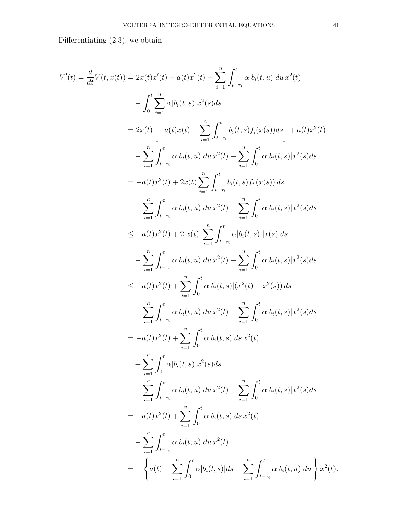Differentiating (2.3), we obtain

$$
V'(t) = \frac{d}{dt}V(t, x(t)) = 2x(t)x'(t) + a(t)x^2(t) - \sum_{i=1}^{n} \int_{t-\tau_i}^{t} \alpha |b_i(t, u)| du x^2(t)
$$
  
\n
$$
- \int_{0}^{t} \sum_{i=1}^{n} \alpha |b_i(t, s)|x^2(s)ds
$$
  
\n
$$
= 2x(t) \left[ -a(t)x(t) + \sum_{i=1}^{n} \int_{t-\tau_i}^{t} b_i(t, s) f_i(x(s))ds \right] + a(t)x^2(t)
$$
  
\n
$$
- \sum_{i=1}^{n} \int_{t-\tau_i}^{t} \alpha |b_i(t, u)| du x^2(t) - \sum_{i=1}^{n} \int_{0}^{t} \alpha |b_i(t, s)|x^2(s)ds
$$
  
\n
$$
= -a(t)x^2(t) + 2x(t) \sum_{i=1}^{n} \int_{t-\tau_i}^{t} b_i(t, s) f_i(x(s)) ds
$$
  
\n
$$
- \sum_{i=1}^{n} \int_{t-\tau_i}^{t} \alpha |b_i(t, u)| du x^2(t) - \sum_{i=1}^{n} \int_{0}^{t} \alpha |b_i(t, s)|x^2(s)ds
$$
  
\n
$$
\leq -a(t)x^2(t) + 2|x(t)| \sum_{i=1}^{n} \int_{t-\tau_i}^{t} \alpha |b_i(t, s)||x(s)|ds
$$
  
\n
$$
- \sum_{i=1}^{n} \int_{t-\tau_i}^{t} \alpha |b_i(t, u)| du x^2(t) - \sum_{i=1}^{n} \int_{0}^{t} \alpha |b_i(t, s)|x^2(s)ds
$$
  
\n
$$
\leq -a(t)x^2(t) + \sum_{i=1}^{n} \int_{0}^{t} \alpha |b_i(t, s)|(x^2(t) + x^2(s)) ds
$$
  
\n
$$
- \sum_{i=1}^{n} \int_{t-\tau_i}^{t} \alpha |b_i(t, u)| du x^2(t) - \sum_{i=1}^{n} \int_{0}^{t} \alpha |b_i(t, s)|x^2(s)ds
$$
  
\n
$$
= -a(t)x^2(t) + \sum_{i=1}^{n} \int_{0}^{t} \alpha |b_i(t, s)| ds x^2(t
$$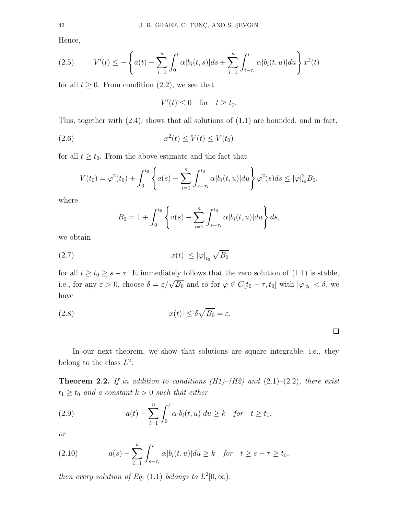Hence,

(2.5) 
$$
V'(t) \leq -\left\{ a(t) - \sum_{i=1}^{n} \int_{0}^{t} \alpha |b_{i}(t,s)| ds + \sum_{i=1}^{n} \int_{t-\tau_{i}}^{t} \alpha |b_{i}(t,u)| du \right\} x^{2}(t)
$$

for all  $t \geq 0$ . From condition  $(2.2)$ , we see that

$$
V'(t) \le 0 \quad \text{for} \quad t \ge t_0.
$$

This, together with (2.4), shows that all solutions of (1.1) are bounded, and in fact,

$$
(2.6) \t\t x2(t) \le V(t) \le V(t0)
$$

for all  $t \geq t_0$ . From the above estimate and the fact that

$$
V(t_0) = \varphi^2(t_0) + \int_0^{t_0} \left\{ a(s) - \sum_{i=1}^n \int_{s-\tau_i}^{t_0} \alpha |b_i(t, u)| du \right\} \varphi^2(s) ds \leq |\varphi|_{t_0}^2 B_0,
$$

where

$$
B_0 = 1 + \int_0^{t_0} \left\{ a(s) - \sum_{i=1}^n \int_{s-\tau_i}^{t_0} \alpha |b_i(t, u)| du \right\} ds,
$$

we obtain

$$
(2.7) \t\t |x(t)| \le |\varphi|_{t_0} \sqrt{B_0}
$$

for all  $t \ge t_0 \ge s - \tau$ . It immediately follows that the zero solution of (1.1) is stable, i.e., for any  $\varepsilon > 0$ , choose  $\delta = \varepsilon/\sqrt{B_0}$  and so for  $\varphi \in C[t_0 - \tau, t_0]$  with  $|\varphi|_{t_0} < \delta$ , we have

(2.8) 
$$
|x(t)| \leq \delta \sqrt{B_0} = \varepsilon.
$$

In our next theorem, we show that solutions are square integrable, i.e., they belong to the class  $L^2$ .

 $\Box$ 

**Theorem 2.2.** If in addition to conditions  $(H1)$ – $(H2)$  and  $(2.1)$ – $(2.2)$ , there exist  $t_1 \geq t_0$  and a constant  $k > 0$  such that either

(2.9) 
$$
a(t) - \sum_{i=1}^{n} \int_0^t \alpha |b_i(t, u)| du \ge k \quad \text{for} \quad t \ge t_1,
$$

or

(2.10) 
$$
a(s) - \sum_{i=1}^n \int_{s-\tau_i}^t \alpha |b_i(t, u)| du \ge k \quad \text{for} \quad t \ge s - \tau \ge t_0,
$$

then every solution of Eq. (1.1) belongs to  $L^2[0,\infty)$ .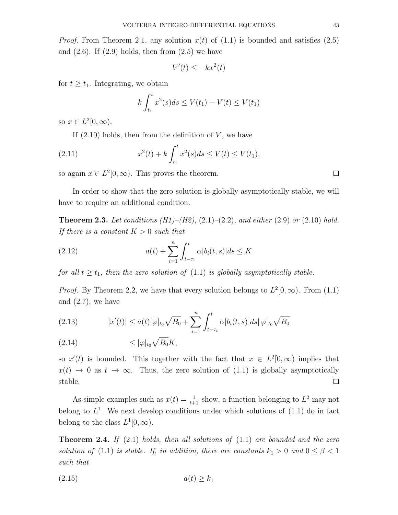$$
V'(t) \le -kx^2(t)
$$

for  $t \geq t_1$ . Integrating, we obtain

$$
k \int_{t_1}^t x^2(s)ds \le V(t_1) - V(t) \le V(t_1)
$$

so  $x \in L^2[0, \infty)$ .

If  $(2.10)$  holds, then from the definition of V, we have

(2.11) 
$$
x^{2}(t) + k \int_{t_{1}}^{t} x^{2}(s)ds \le V(t) \le V(t_{1}),
$$

so again  $x \in L^2[0, \infty)$ . This proves the theorem.

In order to show that the zero solution is globally asymptotically stable, we will have to require an additional condition.

**Theorem 2.3.** Let conditions  $(H1)$ – $(H2)$ ,  $(2.1)$ – $(2.2)$ , and either  $(2.9)$  or  $(2.10)$  hold. If there is a constant  $K > 0$  such that

(2.12) 
$$
a(t) + \sum_{i=1}^{n} \int_{t-\tau_i}^{t} \alpha |b_i(t,s)| ds \le K
$$

for all  $t \geq t_1$ , then the zero solution of (1.1) is globally asymptotically stable.

*Proof.* By Theorem 2.2, we have that every solution belongs to  $L^2[0,\infty)$ . From (1.1) and  $(2.7)$ , we have

(2.13) 
$$
|x'(t)| \le a(t) |\varphi|_{t_0} \sqrt{B_0} + \sum_{i=1}^n \int_{t-\tau_i}^t \alpha |b_i(t,s)| ds |\varphi|_{t_0} \sqrt{B_0}
$$

≤ |ϕ|<sup>t</sup><sup>0</sup> p (2.14) B0K,

so  $x'(t)$  is bounded. This together with the fact that  $x \in L^2[0,\infty)$  implies that  $x(t) \rightarrow 0$  as  $t \rightarrow \infty$ . Thus, the zero solution of (1.1) is globally asymptotically stable.  $\Box$ 

As simple examples such as  $x(t) = \frac{1}{t+1}$  show, a function belonging to  $L^2$  may not belong to  $L^1$ . We next develop conditions under which solutions of  $(1.1)$  do in fact belong to the class  $L^1[0,\infty)$ .

**Theorem 2.4.** If  $(2.1)$  holds, then all solutions of  $(1.1)$  are bounded and the zero solution of (1.1) is stable. If, in addition, there are constants  $k_1 > 0$  and  $0 \leq \beta < 1$ such that

$$
(2.15) \t a(t) \ge k_1
$$

 $\Box$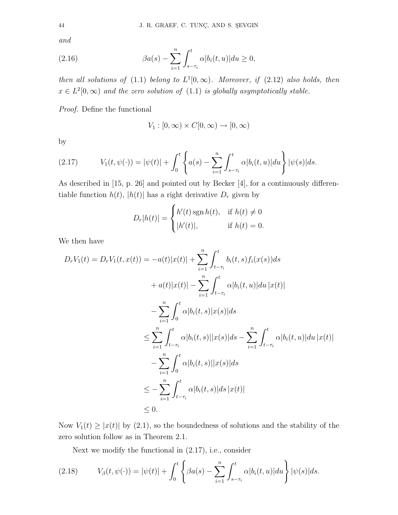and

(2.16) 
$$
\beta a(s) - \sum_{i=1}^{n} \int_{s-\tau_i}^{t} \alpha |b_i(t, u)| du \ge 0,
$$

then all solutions of (1.1) belong to  $L^1[0,\infty)$ . Moreover, if (2.12) also holds, then  $x \in L^2[0,\infty)$  and the zero solution of  $(1.1)$  is globally asymptotically stable.

Proof. Define the functional

$$
V_1 : [0, \infty) \times C[0, \infty) \to [0, \infty)
$$

by

(2.17) 
$$
V_1(t, \psi(\cdot)) = |\psi(t)| + \int_0^t \left\{ a(s) - \sum_{i=1}^n \int_{s-\tau_i}^t \alpha |b_i(t, u)| du \right\} |\psi(s)| ds.
$$

As described in [15, p. 26] and pointed out by Becker [4], for a continuously differentiable function  $h(t)$ ,  $|h(t)|$  has a right derivative  $D_r$  given by

$$
D_r|h(t)| = \begin{cases} h'(t)\operatorname{sgn} h(t), & \text{if } h(t) \neq 0\\ |h'(t)|, & \text{if } h(t) = 0. \end{cases}
$$

We then have

$$
D_r V_1(t) = D_r V_1(t, x(t)) = -a(t)|x(t)| + \sum_{i=1}^n \int_{t-\tau_i}^t b_i(t, s) f_i(x(s)) ds
$$
  
+  $a(t)|x(t)| - \sum_{i=1}^n \int_{t-\tau_i}^t \alpha |b_i(t, u)| du |x(t)|$   
-  $\sum_{i=1}^n \int_0^t \alpha |b_i(t, s)| x(s) | ds$   
 $\leq \sum_{i=1}^n \int_{t-\tau_i}^t \alpha |b_i(t, s)| |x(s)| ds - \sum_{i=1}^n \int_{t-\tau_i}^t \alpha |b_i(t, u)| du |x(t)|$   
-  $\sum_{i=1}^n \int_0^t \alpha |b_i(t, s)| |x(s)| ds$   
 $\leq - \sum_{i=1}^n \int_{t-\tau_i}^t \alpha |b_i(t, s)| ds |x(t)|$   
 $\leq 0.$ 

Now  $V_1(t) \geq |x(t)|$  by (2.1), so the boundedness of solutions and the stability of the zero solution follow as in Theorem 2.1.

Next we modify the functional in (2.17), i.e., consider

(2.18) 
$$
V_{\beta}(t, \psi(\cdot)) = |\psi(t)| + \int_0^t \left\{ \beta a(s) - \sum_{i=1}^n \int_{s-\tau_i}^t \alpha |b_i(t, u)| du \right\} |\psi(s)| ds.
$$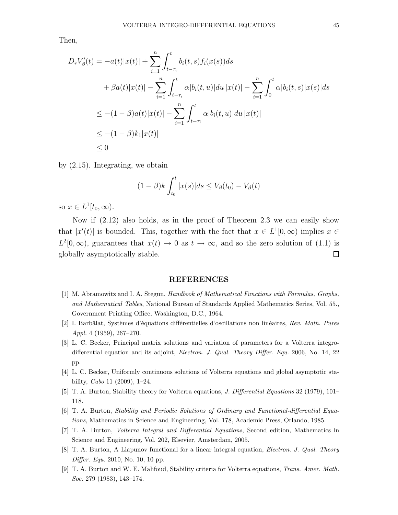Then,

$$
D_r V'_{\beta}(t) = -a(t)|x(t)| + \sum_{i=1}^n \int_{t-\tau_i}^t b_i(t,s) f_i(x(s)) ds
$$
  
+  $\beta a(t)|x(t)| - \sum_{i=1}^n \int_{t-\tau_i}^t \alpha |b_i(t,u)| du |x(t)| - \sum_{i=1}^n \int_0^t \alpha |b_i(t,s)| x(s) | ds$   

$$
\leq -(1-\beta)a(t)|x(t)| - \sum_{i=1}^n \int_{t-\tau_i}^t \alpha |b_i(t,u)| du |x(t)|
$$
  

$$
\leq -(1-\beta)k_1|x(t)|
$$
  

$$
\leq 0
$$

by (2.15). Integrating, we obtain

$$
(1 - \beta)k \int_{t_0}^t |x(s)| ds \le V_\beta(t_0) - V_\beta(t)
$$

so  $x \in L^1[t_0, \infty)$ .

Now if (2.12) also holds, as in the proof of Theorem 2.3 we can easily show that  $|x'(t)|$  is bounded. This, together with the fact that  $x \in L^1[0,\infty)$  implies  $x \in$  $L^2[0,\infty)$ , guarantees that  $x(t) \to 0$  as  $t \to \infty$ , and so the zero solution of (1.1) is globally asymptotically stable.  $\Box$ 

## REFERENCES

- [1] M. Abramowitz and I. A. Stegun, Handbook of Mathematical Functions with Formulas, Graphs, and Mathematical Tables, National Bureau of Standards Applied Mathematics Series, Vol. 55., Government Printing Office, Washington, D.C., 1964.
- [2] I. Barbălat, Systèmes d'équations différentielles d'oscillations non linéaires, Rev. Math. Pures Appl. 4 (1959), 267–270.
- [3] L. C. Becker, Principal matrix solutions and variation of parameters for a Volterra integrodifferential equation and its adjoint, *Electron. J. Qual. Theory Differ. Equ.* 2006, No. 14, 22 pp.
- [4] L. C. Becker, Uniformly continuous solutions of Volterra equations and global asymptotic stability, Cubo 11 (2009), 1–24.
- [5] T. A. Burton, Stability theory for Volterra equations, *J. Differential Equations* 32 (1979), 101– 118.
- [6] T. A. Burton, Stability and Periodic Solutions of Ordinary and Functional-differential Equations, Mathematics in Science and Engineering, Vol. 178, Academic Press, Orlando, 1985.
- [7] T. A. Burton, Volterra Integral and Differential Equations, Second edition, Mathematics in Science and Engineering, Vol. 202, Elsevier, Amsterdam, 2005.
- [8] T. A. Burton, A Liapunov functional for a linear integral equation, *Electron. J. Qual. Theory* Differ. Equ. 2010, No. 10, 10 pp.
- [9] T. A. Burton and W. E. Mahfoud, Stability criteria for Volterra equations, Trans. Amer. Math. Soc. 279 (1983), 143-174.